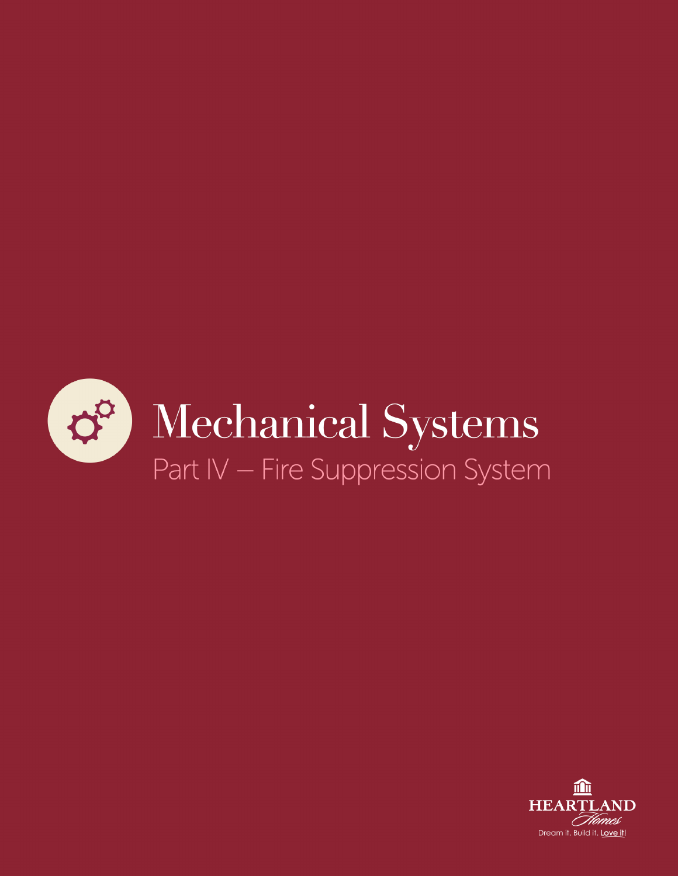

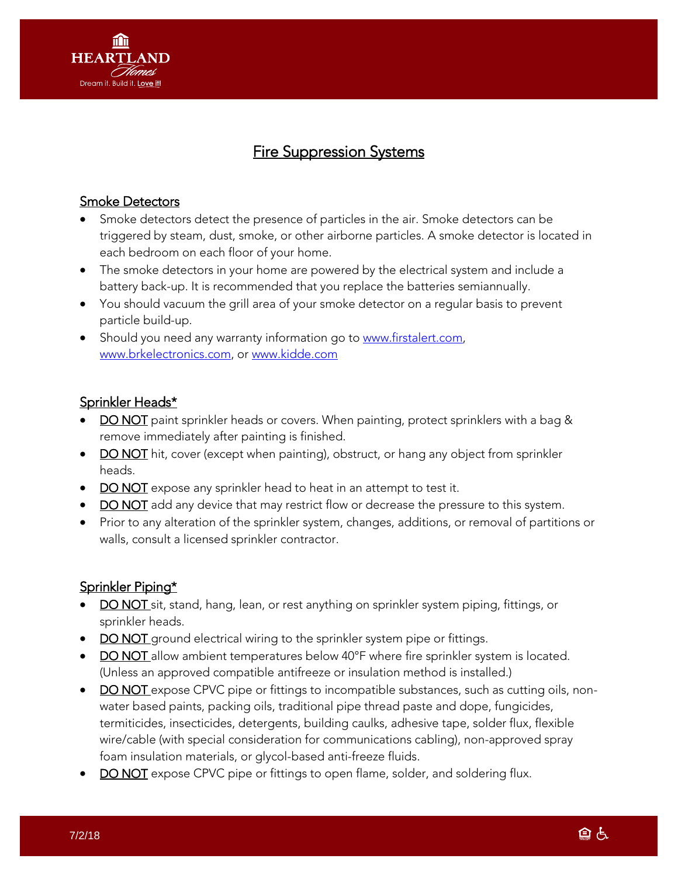

# Fire Suppression Systems

### Smoke Detectors

- Smoke detectors detect the presence of particles in the air. Smoke detectors can be triggered by steam, dust, smoke, or other airborne particles. A smoke detector is located in each bedroom on each floor of your home.
- The smoke detectors in your home are powered by the electrical system and include a battery back-up. It is recommended that you replace the batteries semiannually.
- You should vacuum the grill area of your smoke detector on a regular basis to prevent particle build-up.
- Should you need any warranty information go to [www.firstalert.com,](http://www.firstalert.com/) [www.brkelectronics.com,](http://www.brkelectronics.com/) or [www.kidde.com](http://www.kidde.com/)

#### Sprinkler Heads\*

- DO NOT paint sprinkler heads or covers. When painting, protect sprinklers with a bag & remove immediately after painting is finished.
- DO NOT hit, cover (except when painting), obstruct, or hang any object from sprinkler heads.
- DO NOT expose any sprinkler head to heat in an attempt to test it.
- DO NOT add any device that may restrict flow or decrease the pressure to this system.
- Prior to any alteration of the sprinkler system, changes, additions, or removal of partitions or walls, consult a licensed sprinkler contractor.

## Sprinkler Piping\*

- DO NOT sit, stand, hang, lean, or rest anything on sprinkler system piping, fittings, or sprinkler heads.
- DO NOT ground electrical wiring to the sprinkler system pipe or fittings.
- DO NOT allow ambient temperatures below 40°F where fire sprinkler system is located. (Unless an approved compatible antifreeze or insulation method is installed.)
- DO NOT expose CPVC pipe or fittings to incompatible substances, such as cutting oils, nonwater based paints, packing oils, traditional pipe thread paste and dope, fungicides, termiticides, insecticides, detergents, building caulks, adhesive tape, solder flux, flexible wire/cable (with special consideration for communications cabling), non-approved spray foam insulation materials, or glycol-based anti-freeze fluids.
- DO NOT expose CPVC pipe or fittings to open flame, solder, and soldering flux.